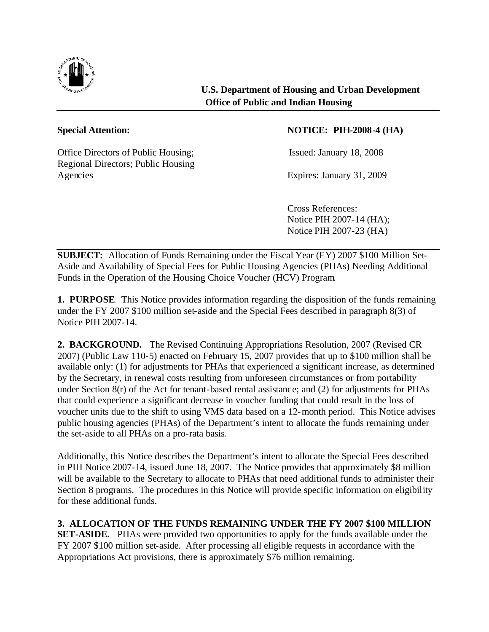

Office Directors of Public Housing; Issued: January 18, 2008 Regional Directors; Public Housing Agencies Expires: January 31, 2009

## **Special Attention: NOTICE: PIH-2008-4 (HA)**

Cross References: Notice PIH 2007-14 (HA); Notice PIH 2007-23 (HA)

**SUBJECT:** Allocation of Funds Remaining under the Fiscal Year (FY) 2007 \$100 Million Set-Aside and Availability of Special Fees for Public Housing Agencies (PHAs) Needing Additional Funds in the Operation of the Housing Choice Voucher (HCV) Program.

**1. PURPOSE**. This Notice provides information regarding the disposition of the funds remaining under the FY 2007 \$100 million set-aside and the Special Fees described in paragraph 8(3) of Notice PIH 2007-14.

**2. BACKGROUND.** The Revised Continuing Appropriations Resolution, 2007 (Revised CR 2007) (Public Law 110-5) enacted on February 15, 2007 provides that up to \$100 million shall be available only: (1) for adjustments for PHAs that experienced a significant increase, as determined by the Secretary, in renewal costs resulting from unforeseen circumstances or from portability under Section 8(r) of the Act for tenant-based rental assistance; and (2) for adjustments for PHAs that could experience a significant decrease in voucher funding that could result in the loss of voucher units due to the shift to using VMS data based on a 12-month period. This Notice advises public housing agencies (PHAs) of the Department's intent to allocate the funds remaining under the set-aside to all PHAs on a pro-rata basis.

Additionally, this Notice describes the Department's intent to allocate the Special Fees described in PIH Notice 2007-14, issued June 18, 2007. The Notice provides that approximately \$8 million will be available to the Secretary to allocate to PHAs that need additional funds to administer their Section 8 programs. The procedures in this Notice will provide specific information on eligibility for these additional funds.

**3. ALLOCATION OF THE FUNDS REMAINING UNDER THE FY 2007 \$100 MILLION SET-ASIDE.** PHAs were provided two opportunities to apply for the funds available under the FY 2007 \$100 million set-aside. After processing all eligible requests in accordance with the Appropriations Act provisions, there is approximately \$76 million remaining.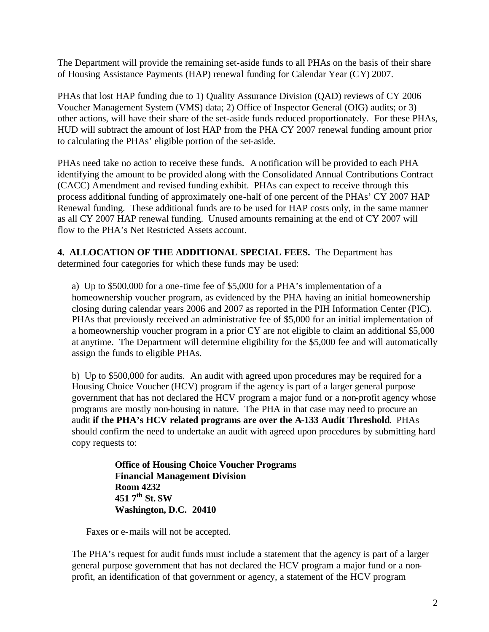The Department will provide the remaining set-aside funds to all PHAs on the basis of their share of Housing Assistance Payments (HAP) renewal funding for Calendar Year (CY) 2007.

PHAs that lost HAP funding due to 1) Quality Assurance Division (QAD) reviews of CY 2006 Voucher Management System (VMS) data; 2) Office of Inspector General (OIG) audits; or 3) other actions, will have their share of the set-aside funds reduced proportionately. For these PHAs, HUD will subtract the amount of lost HAP from the PHA CY 2007 renewal funding amount prior to calculating the PHAs' eligible portion of the set-aside.

PHAs need take no action to receive these funds. A notification will be provided to each PHA identifying the amount to be provided along with the Consolidated Annual Contributions Contract (CACC) Amendment and revised funding exhibit. PHAs can expect to receive through this process additional funding of approximately one-half of one percent of the PHAs' CY 2007 HAP Renewal funding. These additional funds are to be used for HAP costs only, in the same manner as all CY 2007 HAP renewal funding. Unused amounts remaining at the end of CY 2007 will flow to the PHA's Net Restricted Assets account.

**4. ALLOCATION OF THE ADDITIONAL SPECIAL FEES.** The Department has determined four categories for which these funds may be used:

a) Up to \$500,000 for a one-time fee of \$5,000 for a PHA's implementation of a homeownership voucher program, as evidenced by the PHA having an initial homeownership closing during calendar years 2006 and 2007 as reported in the PIH Information Center (PIC). PHAs that previously received an administrative fee of \$5,000 for an initial implementation of a homeownership voucher program in a prior CY are not eligible to claim an additional \$5,000 at anytime. The Department will determine eligibility for the \$5,000 fee and will automatically assign the funds to eligible PHAs.

b) Up to \$500,000 for audits. An audit with agreed upon procedures may be required for a Housing Choice Voucher (HCV) program if the agency is part of a larger general purpose government that has not declared the HCV program a major fund or a non-profit agency whose programs are mostly non-housing in nature. The PHA in that case may need to procure an audit **if the PHA's HCV related programs are over the A-133 Audit Threshold**. PHAs should confirm the need to undertake an audit with agreed upon procedures by submitting hard copy requests to:

> **Office of Housing Choice Voucher Programs Financial Management Division Room 4232 451 7th St. SW Washington, D.C. 20410**

Faxes or e-mails will not be accepted.

The PHA's request for audit funds must include a statement that the agency is part of a larger general purpose government that has not declared the HCV program a major fund or a nonprofit, an identification of that government or agency, a statement of the HCV program